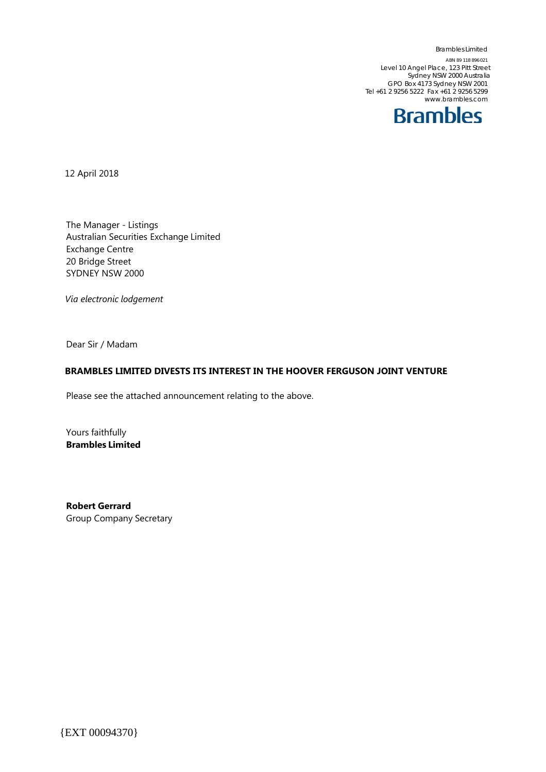Brambles Limited ABN 89 118 896 021 Level 10 Angel Place, 123 Pitt Street Sydney NSW 2000 Australia GPO Box 4173 Sydney NSW 2001 Tel +61 2 9256 5222 Fax +61 2 9256 5299 www.brambles.com



12 April 2018

The Manager - Listings Australian Securities Exchange Limited Exchange Centre 20 Bridge Street SYDNEY NSW 2000

*Via electronic lodgement*

Dear Sir / Madam

## **BRAMBLES LIMITED DIVESTS ITS INTEREST IN THE HOOVER FERGUSON JOINT VENTURE**

Please see the attached announcement relating to the above.

Yours faithfully **Brambles Limited**

**Robert Gerrard** Group Company Secretary